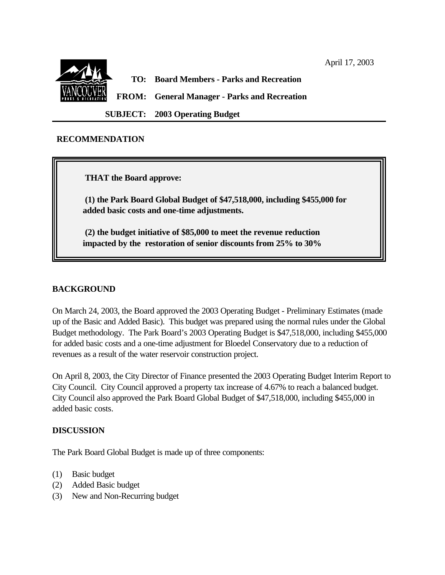

#### **RECOMMENDATION**

**THAT the Board approve:**

 **(1) the Park Board Global Budget of \$47,518,000, including \$455,000 for added basic costs and one-time adjustments.**

 **(2) the budget initiative of \$85,000 to meet the revenue reduction impacted by the restoration of senior discounts from 25% to 30%**

### **BACKGROUND**

On March 24, 2003, the Board approved the 2003 Operating Budget - Preliminary Estimates (made up of the Basic and Added Basic). This budget was prepared using the normal rules under the Global Budget methodology. The Park Board's 2003 Operating Budget is \$47,518,000, including \$455,000 for added basic costs and a one-time adjustment for Bloedel Conservatory due to a reduction of revenues as a result of the water reservoir construction project.

On April 8, 2003, the City Director of Finance presented the 2003 Operating Budget Interim Report to City Council. City Council approved a property tax increase of 4.67% to reach a balanced budget. City Council also approved the Park Board Global Budget of \$47,518,000, including \$455,000 in added basic costs.

#### **DISCUSSION**

The Park Board Global Budget is made up of three components:

- (1) Basic budget
- (2) Added Basic budget
- (3) New and Non-Recurring budget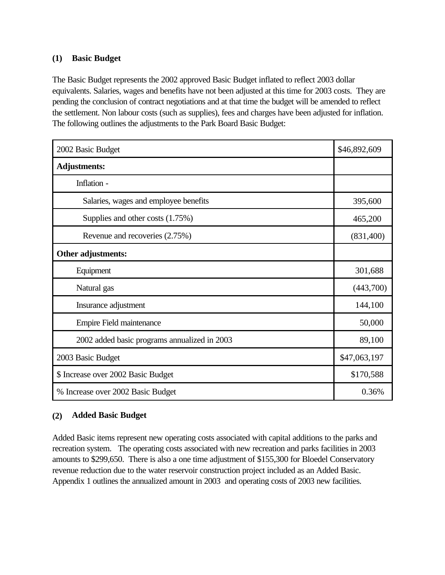# **(1) Basic Budget**

The Basic Budget represents the 2002 approved Basic Budget inflated to reflect 2003 dollar equivalents. Salaries, wages and benefits have not been adjusted at this time for 2003 costs. They are pending the conclusion of contract negotiations and at that time the budget will be amended to reflect the settlement. Non labour costs (such as supplies), fees and charges have been adjusted for inflation. The following outlines the adjustments to the Park Board Basic Budget:

| 2002 Basic Budget                            | \$46,892,609 |
|----------------------------------------------|--------------|
| <b>Adjustments:</b>                          |              |
| Inflation -                                  |              |
| Salaries, wages and employee benefits        | 395,600      |
| Supplies and other costs $(1.75%)$           | 465,200      |
| Revenue and recoveries (2.75%)               | (831,400)    |
| Other adjustments:                           |              |
| Equipment                                    | 301,688      |
| Natural gas                                  | (443,700)    |
| Insurance adjustment                         | 144,100      |
| <b>Empire Field maintenance</b>              | 50,000       |
| 2002 added basic programs annualized in 2003 | 89,100       |
| 2003 Basic Budget                            | \$47,063,197 |
| \$ Increase over 2002 Basic Budget           | \$170,588    |
| % Increase over 2002 Basic Budget            | 0.36%        |

# **(2) Added Basic Budget**

Added Basic items represent new operating costs associated with capital additions to the parks and recreation system. The operating costs associated with new recreation and parks facilities in 2003 amounts to \$299,650. There is also a one time adjustment of \$155,300 for Bloedel Conservatory revenue reduction due to the water reservoir construction project included as an Added Basic. Appendix 1 outlines the annualized amount in 2003 and operating costs of 2003 new facilities.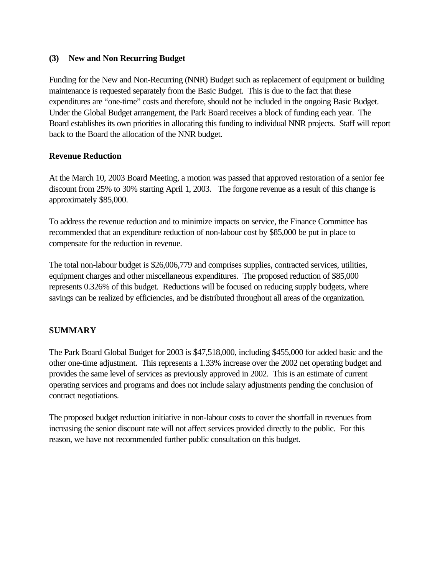## **(3) New and Non Recurring Budget**

Funding for the New and Non-Recurring (NNR) Budget such as replacement of equipment or building maintenance is requested separately from the Basic Budget. This is due to the fact that these expenditures are "one-time" costs and therefore, should not be included in the ongoing Basic Budget. Under the Global Budget arrangement, the Park Board receives a block of funding each year. The Board establishes its own priorities in allocating this funding to individual NNR projects. Staff will report back to the Board the allocation of the NNR budget.

## **Revenue Reduction**

At the March 10, 2003 Board Meeting, a motion was passed that approved restoration of a senior fee discount from 25% to 30% starting April 1, 2003. The forgone revenue as a result of this change is approximately \$85,000.

To address the revenue reduction and to minimize impacts on service, the Finance Committee has recommended that an expenditure reduction of non-labour cost by \$85,000 be put in place to compensate for the reduction in revenue.

The total non-labour budget is \$26,006,779 and comprises supplies, contracted services, utilities, equipment charges and other miscellaneous expenditures. The proposed reduction of \$85,000 represents 0.326% of this budget. Reductions will be focused on reducing supply budgets, where savings can be realized by efficiencies, and be distributed throughout all areas of the organization.

## **SUMMARY**

The Park Board Global Budget for 2003 is \$47,518,000, including \$455,000 for added basic and the other one-time adjustment. This represents a 1.33% increase over the 2002 net operating budget and provides the same level of services as previously approved in 2002. This is an estimate of current operating services and programs and does not include salary adjustments pending the conclusion of contract negotiations.

The proposed budget reduction initiative in non-labour costs to cover the shortfall in revenues from increasing the senior discount rate will not affect services provided directly to the public. For this reason, we have not recommended further public consultation on this budget.